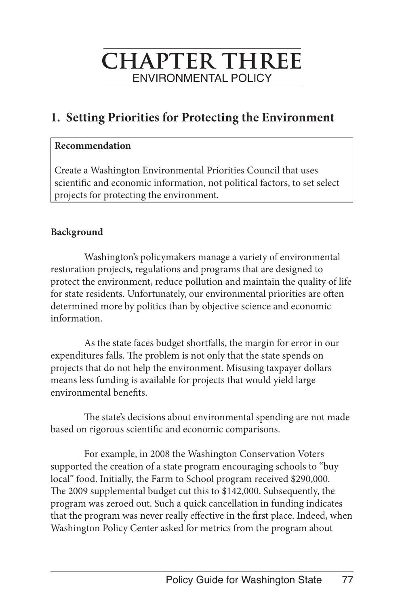# **chapter three** ENVIRONMENTAL POLICY

## **1. Setting Priorities for Protecting the Environment**

#### **Recommendation**

Create a Washington Environmental Priorities Council that uses scientific and economic information, not political factors, to set select projects for protecting the environment.

#### **Background**

Washington's policymakers manage a variety of environmental restoration projects, regulations and programs that are designed to protect the environment, reduce pollution and maintain the quality of life for state residents. Unfortunately, our environmental priorities are often determined more by politics than by objective science and economic information.

As the state faces budget shortfalls, the margin for error in our expenditures falls. The problem is not only that the state spends on projects that do not help the environment. Misusing taxpayer dollars means less funding is available for projects that would yield large environmental benefits.

The state's decisions about environmental spending are not made based on rigorous scientific and economic comparisons.

For example, in 2008 the Washington Conservation Voters supported the creation of a state program encouraging schools to "buy local" food. Initially, the Farm to School program received \$290,000. The 2009 supplemental budget cut this to \$142,000. Subsequently, the program was zeroed out. Such a quick cancellation in funding indicates that the program was never really effective in the first place. Indeed, when Washington Policy Center asked for metrics from the program about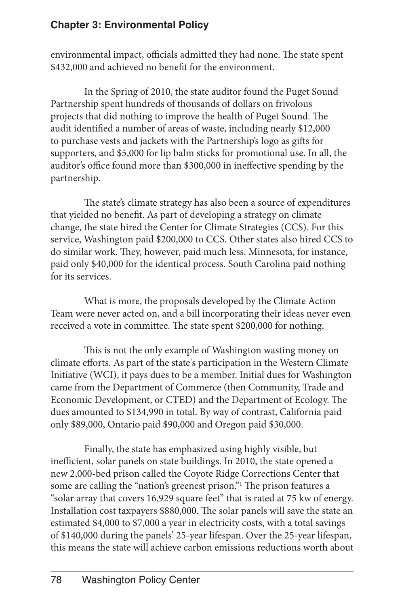environmental impact, officials admitted they had none. The state spent \$432,000 and achieved no benefit for the environment.

In the Spring of 2010, the state auditor found the Puget Sound Partnership spent hundreds of thousands of dollars on frivolous projects that did nothing to improve the health of Puget Sound. The audit identified a number of areas of waste, including nearly \$12,000 to purchase vests and jackets with the Partnership's logo as gifts for supporters, and \$5,000 for lip balm sticks for promotional use. In all, the auditor's office found more than \$300,000 in ineffective spending by the partnership.

The state's climate strategy has also been a source of expenditures that yielded no benefit. As part of developing a strategy on climate change, the state hired the Center for Climate Strategies (CCS). For this service, Washington paid \$200,000 to CCS. Other states also hired CCS to do similar work. They, however, paid much less. Minnesota, for instance, paid only \$40,000 for the identical process. South Carolina paid nothing for its services.

What is more, the proposals developed by the Climate Action Team were never acted on, and a bill incorporating their ideas never even received a vote in committee. The state spent \$200,000 for nothing.

This is not the only example of Washington wasting money on climate efforts. As part of the state's participation in the Western Climate Initiative (WCI), it pays dues to be a member. Initial dues for Washington came from the Department of Commerce (then Community, Trade and Economic Development, or CTED) and the Department of Ecology. The dues amounted to \$134,990 in total. By way of contrast, California paid only \$89,000, Ontario paid \$90,000 and Oregon paid \$30,000.

Finally, the state has emphasized using highly visible, but inefficient, solar panels on state buildings. In 2010, the state opened a new 2,000-bed prison called the Coyote Ridge Corrections Center that some are calling the "nation's greenest prison."1 The prison features a "solar array that covers 16,929 square feet" that is rated at 75 kw of energy. Installation cost taxpayers \$880,000. The solar panels will save the state an estimated \$4,000 to \$7,000 a year in electricity costs, with a total savings of \$140,000 during the panels' 25-year lifespan. Over the 25-year lifespan, this means the state will achieve carbon emissions reductions worth about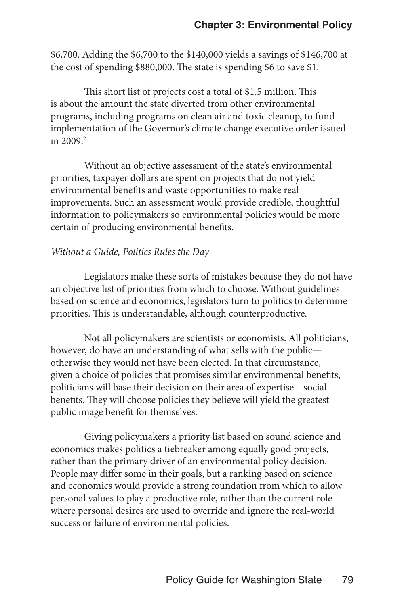\$6,700. Adding the \$6,700 to the \$140,000 yields a savings of \$146,700 at the cost of spending \$880,000. The state is spending \$6 to save \$1.

This short list of projects cost a total of \$1.5 million. This is about the amount the state diverted from other environmental programs, including programs on clean air and toxic cleanup, to fund implementation of the Governor's climate change executive order issued in 2009.<sup>2</sup>

Without an objective assessment of the state's environmental priorities, taxpayer dollars are spent on projects that do not yield environmental benefits and waste opportunities to make real improvements. Such an assessment would provide credible, thoughtful information to policymakers so environmental policies would be more certain of producing environmental benefits.

#### *Without a Guide, Politics Rules the Day*

Legislators make these sorts of mistakes because they do not have an objective list of priorities from which to choose. Without guidelines based on science and economics, legislators turn to politics to determine priorities. This is understandable, although counterproductive.

Not all policymakers are scientists or economists. All politicians, however, do have an understanding of what sells with the public otherwise they would not have been elected. In that circumstance, given a choice of policies that promises similar environmental benefits, politicians will base their decision on their area of expertise—social benefits. They will choose policies they believe will yield the greatest public image benefit for themselves.

Giving policymakers a priority list based on sound science and economics makes politics a tiebreaker among equally good projects, rather than the primary driver of an environmental policy decision. People may differ some in their goals, but a ranking based on science and economics would provide a strong foundation from which to allow personal values to play a productive role, rather than the current role where personal desires are used to override and ignore the real-world success or failure of environmental policies.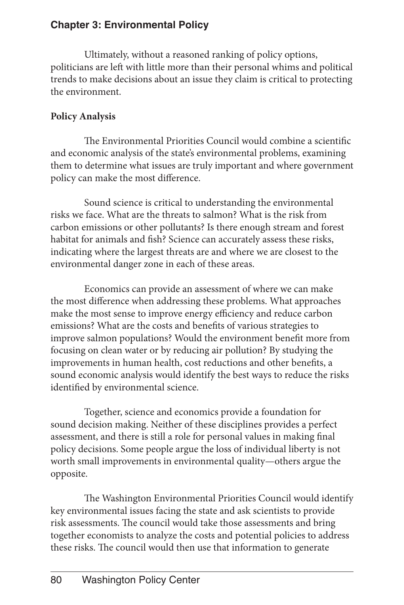Ultimately, without a reasoned ranking of policy options, politicians are left with little more than their personal whims and political trends to make decisions about an issue they claim is critical to protecting the environment.

### **Policy Analysis**

The Environmental Priorities Council would combine a scientific and economic analysis of the state's environmental problems, examining them to determine what issues are truly important and where government policy can make the most difference.

Sound science is critical to understanding the environmental risks we face. What are the threats to salmon? What is the risk from carbon emissions or other pollutants? Is there enough stream and forest habitat for animals and fish? Science can accurately assess these risks, indicating where the largest threats are and where we are closest to the environmental danger zone in each of these areas.

Economics can provide an assessment of where we can make the most difference when addressing these problems. What approaches make the most sense to improve energy efficiency and reduce carbon emissions? What are the costs and benefits of various strategies to improve salmon populations? Would the environment benefit more from focusing on clean water or by reducing air pollution? By studying the improvements in human health, cost reductions and other benefits, a sound economic analysis would identify the best ways to reduce the risks identified by environmental science.

Together, science and economics provide a foundation for sound decision making. Neither of these disciplines provides a perfect assessment, and there is still a role for personal values in making final policy decisions. Some people argue the loss of individual liberty is not worth small improvements in environmental quality—others argue the opposite.

The Washington Environmental Priorities Council would identify key environmental issues facing the state and ask scientists to provide risk assessments. The council would take those assessments and bring together economists to analyze the costs and potential policies to address these risks. The council would then use that information to generate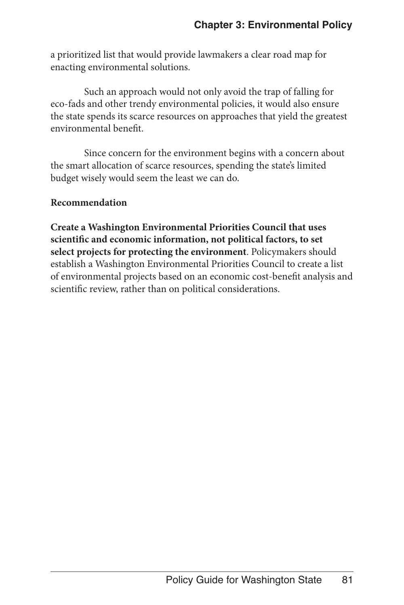a prioritized list that would provide lawmakers a clear road map for enacting environmental solutions.

Such an approach would not only avoid the trap of falling for eco-fads and other trendy environmental policies, it would also ensure the state spends its scarce resources on approaches that yield the greatest environmental benefit.

Since concern for the environment begins with a concern about the smart allocation of scarce resources, spending the state's limited budget wisely would seem the least we can do.

#### **Recommendation**

**Create a Washington Environmental Priorities Council that uses scientific and economic information, not political factors, to set select projects for protecting the environment**. Policymakers should establish a Washington Environmental Priorities Council to create a list of environmental projects based on an economic cost-benefit analysis and scientific review, rather than on political considerations.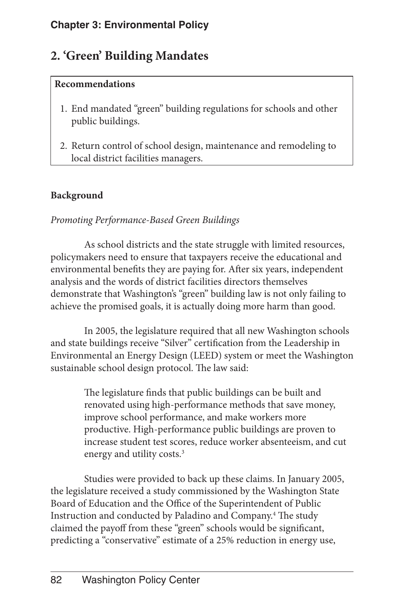## **2. 'Green' Building Mandates**

#### **Recommendations**

- 1. End mandated "green" building regulations for schools and other public buildings.
- 2. Return control of school design, maintenance and remodeling to local district facilities managers.

#### **Background**

#### *Promoting Performance-Based Green Buildings*

As school districts and the state struggle with limited resources, policymakers need to ensure that taxpayers receive the educational and environmental benefits they are paying for. After six years, independent analysis and the words of district facilities directors themselves demonstrate that Washington's "green" building law is not only failing to achieve the promised goals, it is actually doing more harm than good.

In 2005, the legislature required that all new Washington schools and state buildings receive "Silver" certification from the Leadership in Environmental an Energy Design (LEED) system or meet the Washington sustainable school design protocol. The law said:

> The legislature finds that public buildings can be built and renovated using high-performance methods that save money, improve school performance, and make workers more productive. High-performance public buildings are proven to increase student test scores, reduce worker absenteeism, and cut energy and utility costs.<sup>3</sup>

Studies were provided to back up these claims. In January 2005, the legislature received a study commissioned by the Washington State Board of Education and the Office of the Superintendent of Public Instruction and conducted by Paladino and Company.4 The study claimed the payoff from these "green" schools would be significant, predicting a "conservative" estimate of a 25% reduction in energy use,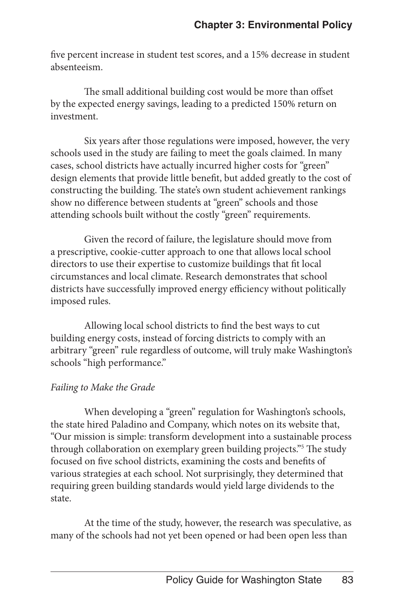five percent increase in student test scores, and a 15% decrease in student absenteeism.

The small additional building cost would be more than offset by the expected energy savings, leading to a predicted 150% return on investment.

Six years after those regulations were imposed, however, the very schools used in the study are failing to meet the goals claimed. In many cases, school districts have actually incurred higher costs for "green" design elements that provide little benefit, but added greatly to the cost of constructing the building. The state's own student achievement rankings show no difference between students at "green" schools and those attending schools built without the costly "green" requirements.

Given the record of failure, the legislature should move from a prescriptive, cookie-cutter approach to one that allows local school directors to use their expertise to customize buildings that fit local circumstances and local climate. Research demonstrates that school districts have successfully improved energy efficiency without politically imposed rules.

Allowing local school districts to find the best ways to cut building energy costs, instead of forcing districts to comply with an arbitrary "green" rule regardless of outcome, will truly make Washington's schools "high performance."

#### *Failing to Make the Grade*

When developing a "green" regulation for Washington's schools, the state hired Paladino and Company, which notes on its website that, "Our mission is simple: transform development into a sustainable process through collaboration on exemplary green building projects."5 The study focused on five school districts, examining the costs and benefits of various strategies at each school. Not surprisingly, they determined that requiring green building standards would yield large dividends to the state.

At the time of the study, however, the research was speculative, as many of the schools had not yet been opened or had been open less than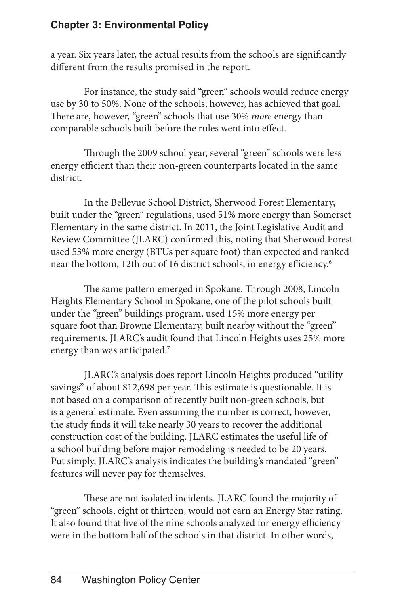a year. Six years later, the actual results from the schools are significantly different from the results promised in the report.

For instance, the study said "green" schools would reduce energy use by 30 to 50%. None of the schools, however, has achieved that goal. There are, however, "green" schools that use 30% *more* energy than comparable schools built before the rules went into effect.

Through the 2009 school year, several "green" schools were less energy efficient than their non-green counterparts located in the same district.

In the Bellevue School District, Sherwood Forest Elementary, built under the "green" regulations, used 51% more energy than Somerset Elementary in the same district. In 2011, the Joint Legislative Audit and Review Committee (JLARC) confirmed this, noting that Sherwood Forest used 53% more energy (BTUs per square foot) than expected and ranked near the bottom, 12th out of 16 district schools, in energy efficiency.6

The same pattern emerged in Spokane. Through 2008, Lincoln Heights Elementary School in Spokane, one of the pilot schools built under the "green" buildings program, used 15% more energy per square foot than Browne Elementary, built nearby without the "green" requirements. JLARC's audit found that Lincoln Heights uses 25% more energy than was anticipated.<sup>7</sup>

JLARC's analysis does report Lincoln Heights produced "utility savings" of about \$12,698 per year. This estimate is questionable. It is not based on a comparison of recently built non-green schools, but is a general estimate. Even assuming the number is correct, however, the study finds it will take nearly 30 years to recover the additional construction cost of the building. JLARC estimates the useful life of a school building before major remodeling is needed to be 20 years. Put simply, JLARC's analysis indicates the building's mandated "green" features will never pay for themselves.

These are not isolated incidents. JLARC found the majority of "green" schools, eight of thirteen, would not earn an Energy Star rating. It also found that five of the nine schools analyzed for energy efficiency were in the bottom half of the schools in that district. In other words,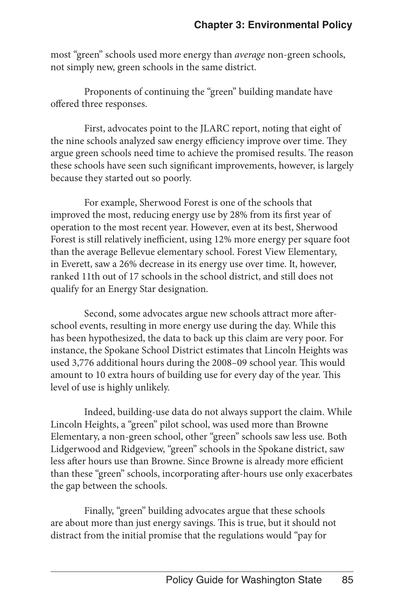most "green" schools used more energy than *average* non-green schools, not simply new, green schools in the same district.

Proponents of continuing the "green" building mandate have offered three responses.

First, advocates point to the JLARC report, noting that eight of the nine schools analyzed saw energy efficiency improve over time. They argue green schools need time to achieve the promised results. The reason these schools have seen such significant improvements, however, is largely because they started out so poorly.

For example, Sherwood Forest is one of the schools that improved the most, reducing energy use by 28% from its first year of operation to the most recent year. However, even at its best, Sherwood Forest is still relatively inefficient, using 12% more energy per square foot than the average Bellevue elementary school. Forest View Elementary, in Everett, saw a 26% decrease in its energy use over time. It, however, ranked 11th out of 17 schools in the school district, and still does not qualify for an Energy Star designation.

Second, some advocates argue new schools attract more afterschool events, resulting in more energy use during the day. While this has been hypothesized, the data to back up this claim are very poor. For instance, the Spokane School District estimates that Lincoln Heights was used 3,776 additional hours during the 2008–09 school year. This would amount to 10 extra hours of building use for every day of the year. This level of use is highly unlikely.

Indeed, building-use data do not always support the claim. While Lincoln Heights, a "green" pilot school, was used more than Browne Elementary, a non-green school, other "green" schools saw less use. Both Lidgerwood and Ridgeview, "green" schools in the Spokane district, saw less after hours use than Browne. Since Browne is already more efficient than these "green" schools, incorporating after-hours use only exacerbates the gap between the schools.

Finally, "green" building advocates argue that these schools are about more than just energy savings. This is true, but it should not distract from the initial promise that the regulations would "pay for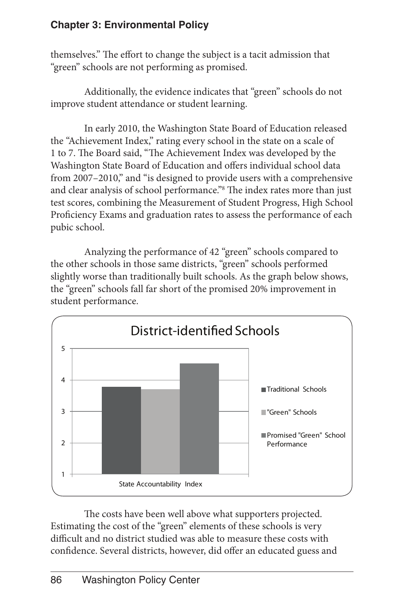themselves." The effort to change the subject is a tacit admission that "green" schools are not performing as promised.

Additionally, the evidence indicates that "green" schools do not improve student attendance or student learning.

In early 2010, the Washington State Board of Education released the "Achievement Index," rating every school in the state on a scale of 1 to 7. The Board said, "The Achievement Index was developed by the Washington State Board of Education and offers individual school data from 2007–2010," and "is designed to provide users with a comprehensive and clear analysis of school performance."8 The index rates more than just test scores, combining the Measurement of Student Progress, High School Proficiency Exams and graduation rates to assess the performance of each pubic school.

Analyzing the performance of 42 "green" schools compared to the other schools in those same districts, "green" schools performed slightly worse than traditionally built schools. As the graph below shows, the "green" schools fall far short of the promised 20% improvement in student performance.



The costs have been well above what supporters projected. Estimating the cost of the "green" elements of these schools is very difficult and no district studied was able to measure these costs with confidence. Several districts, however, did offer an educated guess and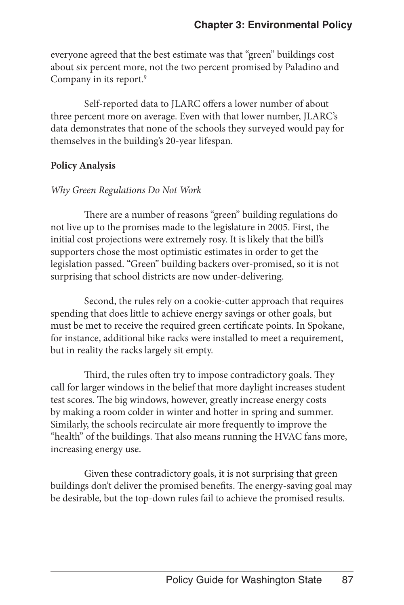everyone agreed that the best estimate was that "green" buildings cost about six percent more, not the two percent promised by Paladino and Company in its report.<sup>9</sup>

Self-reported data to JLARC offers a lower number of about three percent more on average. Even with that lower number, JLARC's data demonstrates that none of the schools they surveyed would pay for themselves in the building's 20-year lifespan.

#### **Policy Analysis**

#### *Why Green Regulations Do Not Work*

There are a number of reasons "green" building regulations do not live up to the promises made to the legislature in 2005. First, the initial cost projections were extremely rosy. It is likely that the bill's supporters chose the most optimistic estimates in order to get the legislation passed. "Green" building backers over-promised, so it is not surprising that school districts are now under-delivering.

Second, the rules rely on a cookie-cutter approach that requires spending that does little to achieve energy savings or other goals, but must be met to receive the required green certificate points. In Spokane, for instance, additional bike racks were installed to meet a requirement, but in reality the racks largely sit empty.

Third, the rules often try to impose contradictory goals. They call for larger windows in the belief that more daylight increases student test scores. The big windows, however, greatly increase energy costs by making a room colder in winter and hotter in spring and summer. Similarly, the schools recirculate air more frequently to improve the "health" of the buildings. That also means running the HVAC fans more, increasing energy use.

Given these contradictory goals, it is not surprising that green buildings don't deliver the promised benefits. The energy-saving goal may be desirable, but the top-down rules fail to achieve the promised results.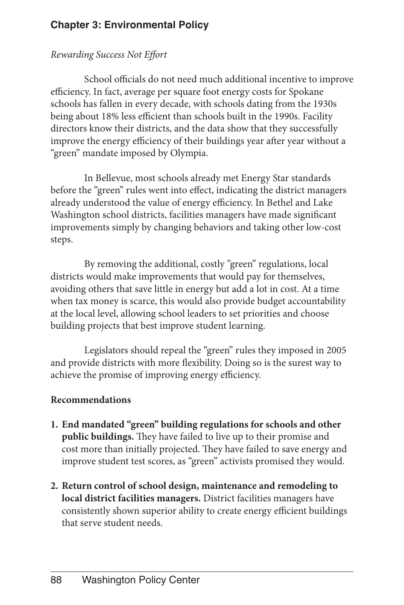#### *Rewarding Success Not Effort*

School officials do not need much additional incentive to improve efficiency. In fact, average per square foot energy costs for Spokane schools has fallen in every decade, with schools dating from the 1930s being about 18% less efficient than schools built in the 1990s. Facility directors know their districts, and the data show that they successfully improve the energy efficiency of their buildings year after year without a "green" mandate imposed by Olympia.

In Bellevue, most schools already met Energy Star standards before the "green" rules went into effect, indicating the district managers already understood the value of energy efficiency. In Bethel and Lake Washington school districts, facilities managers have made significant improvements simply by changing behaviors and taking other low-cost steps.

By removing the additional, costly "green" regulations, local districts would make improvements that would pay for themselves, avoiding others that save little in energy but add a lot in cost. At a time when tax money is scarce, this would also provide budget accountability at the local level, allowing school leaders to set priorities and choose building projects that best improve student learning.

Legislators should repeal the "green" rules they imposed in 2005 and provide districts with more flexibility. Doing so is the surest way to achieve the promise of improving energy efficiency.

#### **Recommendations**

- **1. End mandated "green" building regulations for schools and other public buildings.** They have failed to live up to their promise and cost more than initially projected. They have failed to save energy and improve student test scores, as "green" activists promised they would.
- **2. Return control of school design, maintenance and remodeling to local district facilities managers.** District facilities managers have consistently shown superior ability to create energy efficient buildings that serve student needs.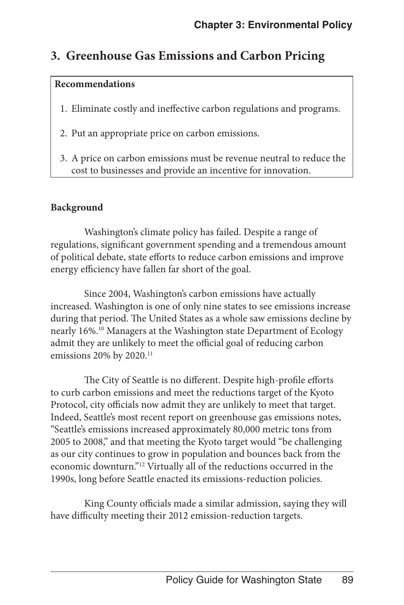## **3. Greenhouse Gas Emissions and Carbon Pricing**

#### **Recommendations**

- 1. Eliminate costly and ineffective carbon regulations and programs.
- 2. Put an appropriate price on carbon emissions.
- 3. A price on carbon emissions must be revenue neutral to reduce the cost to businesses and provide an incentive for innovation.

#### **Background**

Washington's climate policy has failed. Despite a range of regulations, significant government spending and a tremendous amount of political debate, state efforts to reduce carbon emissions and improve energy efficiency have fallen far short of the goal.

Since 2004, Washington's carbon emissions have actually increased. Washington is one of only nine states to see emissions increase during that period. The United States as a whole saw emissions decline by nearly 16%.10 Managers at the Washington state Department of Ecology admit they are unlikely to meet the official goal of reducing carbon emissions 20% by 2020.<sup>11</sup>

The City of Seattle is no different. Despite high-profile efforts to curb carbon emissions and meet the reductions target of the Kyoto Protocol, city officials now admit they are unlikely to meet that target. Indeed, Seattle's most recent report on greenhouse gas emissions notes, "Seattle's emissions increased approximately 80,000 metric tons from 2005 to 2008," and that meeting the Kyoto target would "be challenging as our city continues to grow in population and bounces back from the economic downturn."12 Virtually all of the reductions occurred in the 1990s, long before Seattle enacted its emissions-reduction policies.

King County officials made a similar admission, saying they will have difficulty meeting their 2012 emission-reduction targets.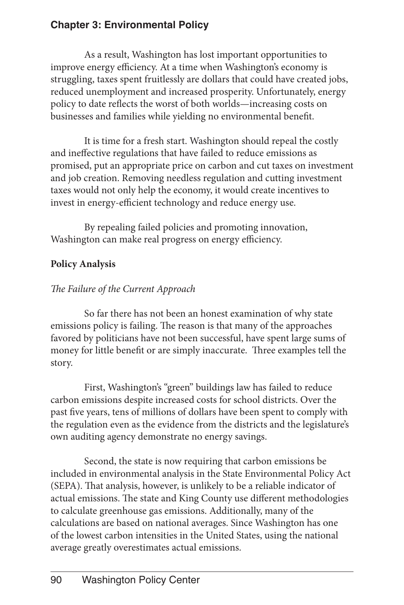As a result, Washington has lost important opportunities to improve energy efficiency. At a time when Washington's economy is struggling, taxes spent fruitlessly are dollars that could have created jobs, reduced unemployment and increased prosperity. Unfortunately, energy policy to date reflects the worst of both worlds—increasing costs on businesses and families while yielding no environmental benefit.

It is time for a fresh start. Washington should repeal the costly and ineffective regulations that have failed to reduce emissions as promised, put an appropriate price on carbon and cut taxes on investment and job creation. Removing needless regulation and cutting investment taxes would not only help the economy, it would create incentives to invest in energy-efficient technology and reduce energy use.

By repealing failed policies and promoting innovation, Washington can make real progress on energy efficiency.

#### **Policy Analysis**

#### *The Failure of the Current Approach*

So far there has not been an honest examination of why state emissions policy is failing. The reason is that many of the approaches favored by politicians have not been successful, have spent large sums of money for little benefit or are simply inaccurate. Three examples tell the story.

First, Washington's "green" buildings law has failed to reduce carbon emissions despite increased costs for school districts. Over the past five years, tens of millions of dollars have been spent to comply with the regulation even as the evidence from the districts and the legislature's own auditing agency demonstrate no energy savings.

Second, the state is now requiring that carbon emissions be included in environmental analysis in the State Environmental Policy Act (SEPA). That analysis, however, is unlikely to be a reliable indicator of actual emissions. The state and King County use different methodologies to calculate greenhouse gas emissions. Additionally, many of the calculations are based on national averages. Since Washington has one of the lowest carbon intensities in the United States, using the national average greatly overestimates actual emissions.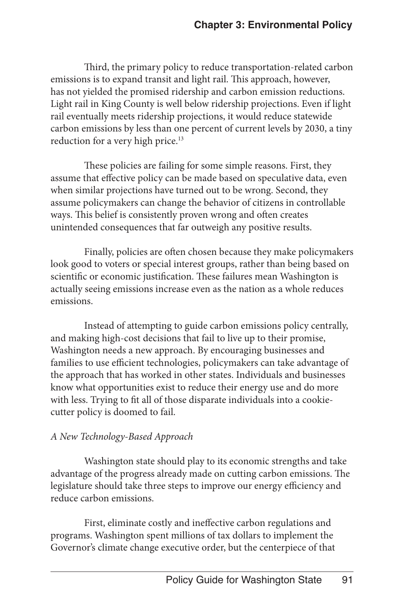Third, the primary policy to reduce transportation-related carbon emissions is to expand transit and light rail. This approach, however, has not yielded the promised ridership and carbon emission reductions. Light rail in King County is well below ridership projections. Even if light rail eventually meets ridership projections, it would reduce statewide carbon emissions by less than one percent of current levels by 2030, a tiny reduction for a very high price.<sup>13</sup>

These policies are failing for some simple reasons. First, they assume that effective policy can be made based on speculative data, even when similar projections have turned out to be wrong. Second, they assume policymakers can change the behavior of citizens in controllable ways. This belief is consistently proven wrong and often creates unintended consequences that far outweigh any positive results.

Finally, policies are often chosen because they make policymakers look good to voters or special interest groups, rather than being based on scientific or economic justification. These failures mean Washington is actually seeing emissions increase even as the nation as a whole reduces emissions.

Instead of attempting to guide carbon emissions policy centrally, and making high-cost decisions that fail to live up to their promise, Washington needs a new approach. By encouraging businesses and families to use efficient technologies, policymakers can take advantage of the approach that has worked in other states. Individuals and businesses know what opportunities exist to reduce their energy use and do more with less. Trying to fit all of those disparate individuals into a cookiecutter policy is doomed to fail.

#### *A New Technology-Based Approach*

Washington state should play to its economic strengths and take advantage of the progress already made on cutting carbon emissions. The legislature should take three steps to improve our energy efficiency and reduce carbon emissions.

First, eliminate costly and ineffective carbon regulations and programs. Washington spent millions of tax dollars to implement the Governor's climate change executive order, but the centerpiece of that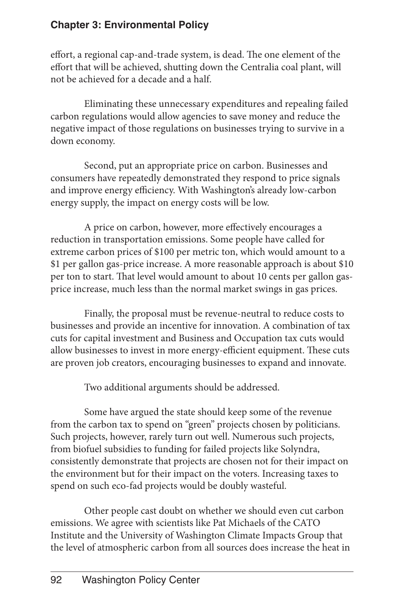effort, a regional cap-and-trade system, is dead. The one element of the effort that will be achieved, shutting down the Centralia coal plant, will not be achieved for a decade and a half.

Eliminating these unnecessary expenditures and repealing failed carbon regulations would allow agencies to save money and reduce the negative impact of those regulations on businesses trying to survive in a down economy.

Second, put an appropriate price on carbon. Businesses and consumers have repeatedly demonstrated they respond to price signals and improve energy efficiency. With Washington's already low-carbon energy supply, the impact on energy costs will be low.

A price on carbon, however, more effectively encourages a reduction in transportation emissions. Some people have called for extreme carbon prices of \$100 per metric ton, which would amount to a \$1 per gallon gas-price increase. A more reasonable approach is about \$10 per ton to start. That level would amount to about 10 cents per gallon gasprice increase, much less than the normal market swings in gas prices.

Finally, the proposal must be revenue-neutral to reduce costs to businesses and provide an incentive for innovation. A combination of tax cuts for capital investment and Business and Occupation tax cuts would allow businesses to invest in more energy-efficient equipment. These cuts are proven job creators, encouraging businesses to expand and innovate.

Two additional arguments should be addressed.

Some have argued the state should keep some of the revenue from the carbon tax to spend on "green" projects chosen by politicians. Such projects, however, rarely turn out well. Numerous such projects, from biofuel subsidies to funding for failed projects like Solyndra, consistently demonstrate that projects are chosen not for their impact on the environment but for their impact on the voters. Increasing taxes to spend on such eco-fad projects would be doubly wasteful.

Other people cast doubt on whether we should even cut carbon emissions. We agree with scientists like Pat Michaels of the CATO Institute and the University of Washington Climate Impacts Group that the level of atmospheric carbon from all sources does increase the heat in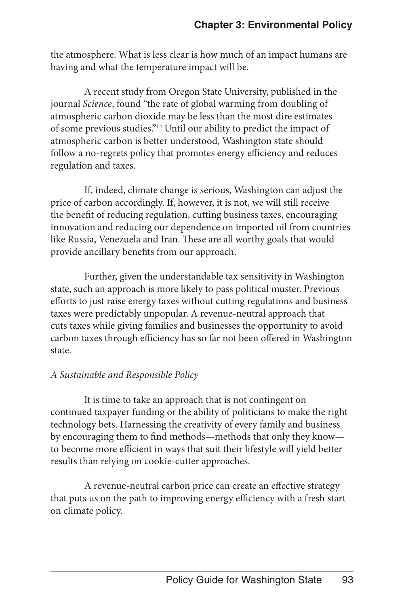the atmosphere. What is less clear is how much of an impact humans are having and what the temperature impact will be.

A recent study from Oregon State University, published in the journal *Science*, found "the rate of global warming from doubling of atmospheric carbon dioxide may be less than the most dire estimates of some previous studies."14 Until our ability to predict the impact of atmospheric carbon is better understood, Washington state should follow a no-regrets policy that promotes energy efficiency and reduces regulation and taxes.

If, indeed, climate change is serious, Washington can adjust the price of carbon accordingly. If, however, it is not, we will still receive the benefit of reducing regulation, cutting business taxes, encouraging innovation and reducing our dependence on imported oil from countries like Russia, Venezuela and Iran. These are all worthy goals that would provide ancillary benefits from our approach.

Further, given the understandable tax sensitivity in Washington state, such an approach is more likely to pass political muster. Previous efforts to just raise energy taxes without cutting regulations and business taxes were predictably unpopular. A revenue-neutral approach that cuts taxes while giving families and businesses the opportunity to avoid carbon taxes through efficiency has so far not been offered in Washington state.

#### *A Sustainable and Responsible Policy*

It is time to take an approach that is not contingent on continued taxpayer funding or the ability of politicians to make the right technology bets. Harnessing the creativity of every family and business by encouraging them to find methods—methods that only they know to become more efficient in ways that suit their lifestyle will yield better results than relying on cookie-cutter approaches.

A revenue-neutral carbon price can create an effective strategy that puts us on the path to improving energy efficiency with a fresh start on climate policy.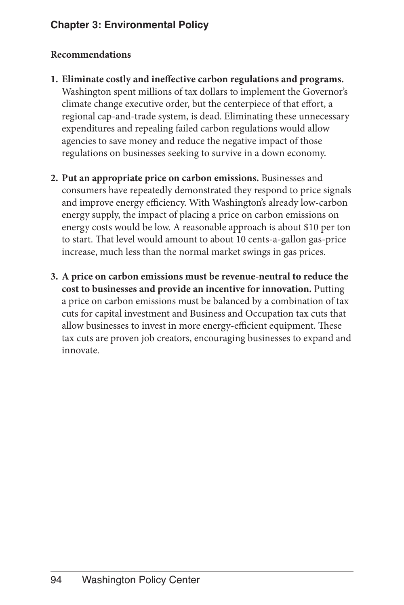#### **Recommendations**

- **1. Eliminate costly and ineffective carbon regulations and programs.** Washington spent millions of tax dollars to implement the Governor's climate change executive order, but the centerpiece of that effort, a regional cap-and-trade system, is dead. Eliminating these unnecessary expenditures and repealing failed carbon regulations would allow agencies to save money and reduce the negative impact of those regulations on businesses seeking to survive in a down economy.
- **2. Put an appropriate price on carbon emissions.** Businesses and consumers have repeatedly demonstrated they respond to price signals and improve energy efficiency. With Washington's already low-carbon energy supply, the impact of placing a price on carbon emissions on energy costs would be low. A reasonable approach is about \$10 per ton to start. That level would amount to about 10 cents-a-gallon gas-price increase, much less than the normal market swings in gas prices.
- **3. A price on carbon emissions must be revenue-neutral to reduce the cost to businesses and provide an incentive for innovation.** Putting a price on carbon emissions must be balanced by a combination of tax cuts for capital investment and Business and Occupation tax cuts that allow businesses to invest in more energy-efficient equipment. These tax cuts are proven job creators, encouraging businesses to expand and innovate.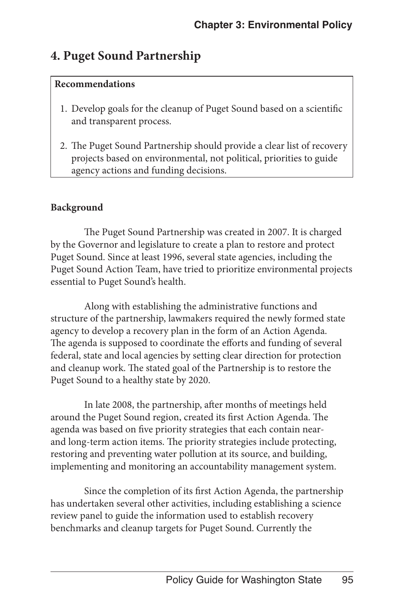## **4. Puget Sound Partnership**

#### **Recommendations**

- 1. Develop goals for the cleanup of Puget Sound based on a scientific and transparent process.
- 2. The Puget Sound Partnership should provide a clear list of recovery projects based on environmental, not political, priorities to guide agency actions and funding decisions.

#### **Background**

The Puget Sound Partnership was created in 2007. It is charged by the Governor and legislature to create a plan to restore and protect Puget Sound. Since at least 1996, several state agencies, including the Puget Sound Action Team, have tried to prioritize environmental projects essential to Puget Sound's health.

Along with establishing the administrative functions and structure of the partnership, lawmakers required the newly formed state agency to develop a recovery plan in the form of an Action Agenda. The agenda is supposed to coordinate the efforts and funding of several federal, state and local agencies by setting clear direction for protection and cleanup work. The stated goal of the Partnership is to restore the Puget Sound to a healthy state by 2020.

In late 2008, the partnership, after months of meetings held around the Puget Sound region, created its first Action Agenda. The agenda was based on five priority strategies that each contain nearand long-term action items. The priority strategies include protecting, restoring and preventing water pollution at its source, and building, implementing and monitoring an accountability management system.

Since the completion of its first Action Agenda, the partnership has undertaken several other activities, including establishing a science review panel to guide the information used to establish recovery benchmarks and cleanup targets for Puget Sound. Currently the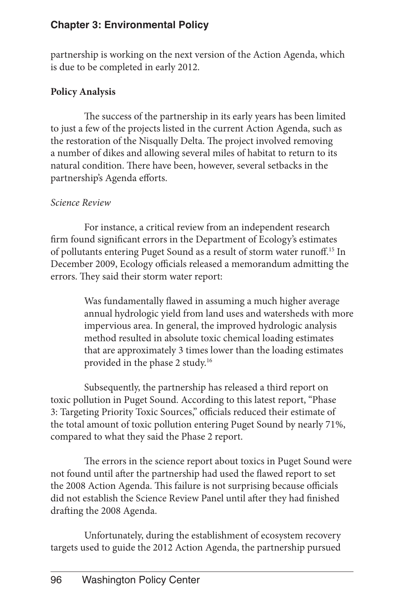partnership is working on the next version of the Action Agenda, which is due to be completed in early 2012.

#### **Policy Analysis**

The success of the partnership in its early years has been limited to just a few of the projects listed in the current Action Agenda, such as the restoration of the Nisqually Delta. The project involved removing a number of dikes and allowing several miles of habitat to return to its natural condition. There have been, however, several setbacks in the partnership's Agenda efforts.

#### *Science Review*

For instance, a critical review from an independent research firm found significant errors in the Department of Ecology's estimates of pollutants entering Puget Sound as a result of storm water runoff.15 In December 2009, Ecology officials released a memorandum admitting the errors. They said their storm water report:

> Was fundamentally flawed in assuming a much higher average annual hydrologic yield from land uses and watersheds with more impervious area. In general, the improved hydrologic analysis method resulted in absolute toxic chemical loading estimates that are approximately 3 times lower than the loading estimates provided in the phase 2 study.16

Subsequently, the partnership has released a third report on toxic pollution in Puget Sound. According to this latest report, "Phase 3: Targeting Priority Toxic Sources," officials reduced their estimate of the total amount of toxic pollution entering Puget Sound by nearly 71%, compared to what they said the Phase 2 report.

The errors in the science report about toxics in Puget Sound were not found until after the partnership had used the flawed report to set the 2008 Action Agenda. This failure is not surprising because officials did not establish the Science Review Panel until after they had finished drafting the 2008 Agenda.

Unfortunately, during the establishment of ecosystem recovery targets used to guide the 2012 Action Agenda, the partnership pursued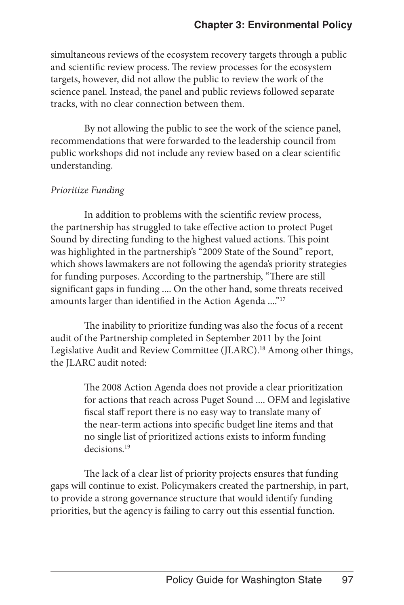simultaneous reviews of the ecosystem recovery targets through a public and scientific review process. The review processes for the ecosystem targets, however, did not allow the public to review the work of the science panel. Instead, the panel and public reviews followed separate tracks, with no clear connection between them.

By not allowing the public to see the work of the science panel, recommendations that were forwarded to the leadership council from public workshops did not include any review based on a clear scientific understanding.

#### *Prioritize Funding*

In addition to problems with the scientific review process, the partnership has struggled to take effective action to protect Puget Sound by directing funding to the highest valued actions. This point was highlighted in the partnership's "2009 State of the Sound" report, which shows lawmakers are not following the agenda's priority strategies for funding purposes. According to the partnership, "There are still significant gaps in funding .... On the other hand, some threats received amounts larger than identified in the Action Agenda ...."17

The inability to prioritize funding was also the focus of a recent audit of the Partnership completed in September 2011 by the Joint Legislative Audit and Review Committee (JLARC).<sup>18</sup> Among other things, the JLARC audit noted:

> The 2008 Action Agenda does not provide a clear prioritization for actions that reach across Puget Sound .... OFM and legislative fiscal staff report there is no easy way to translate many of the near-term actions into specific budget line items and that no single list of prioritized actions exists to inform funding decisions.<sup>19</sup>

The lack of a clear list of priority projects ensures that funding gaps will continue to exist. Policymakers created the partnership, in part, to provide a strong governance structure that would identify funding priorities, but the agency is failing to carry out this essential function.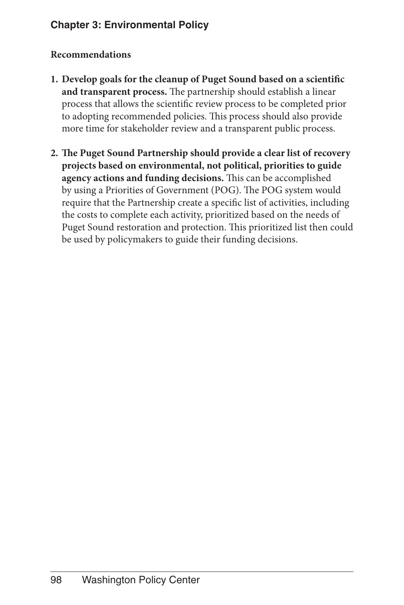#### **Recommendations**

- **1. Develop goals for the cleanup of Puget Sound based on a scientific and transparent process.** The partnership should establish a linear process that allows the scientific review process to be completed prior to adopting recommended policies. This process should also provide more time for stakeholder review and a transparent public process.
- **2. The Puget Sound Partnership should provide a clear list of recovery projects based on environmental, not political, priorities to guide agency actions and funding decisions.** This can be accomplished by using a Priorities of Government (POG). The POG system would require that the Partnership create a specific list of activities, including the costs to complete each activity, prioritized based on the needs of Puget Sound restoration and protection. This prioritized list then could be used by policymakers to guide their funding decisions.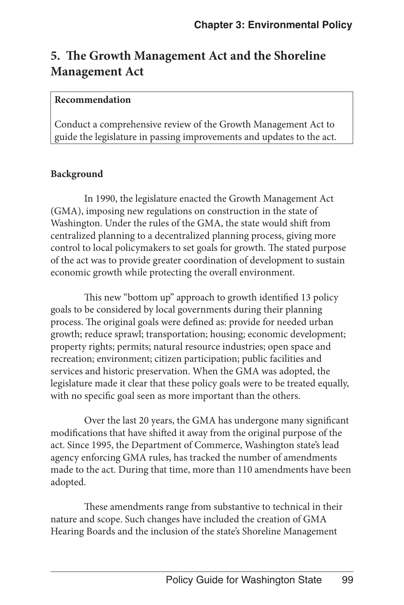## **5. The Growth Management Act and the Shoreline Management Act**

#### **Recommendation**

Conduct a comprehensive review of the Growth Management Act to guide the legislature in passing improvements and updates to the act.

#### **Background**

In 1990, the legislature enacted the Growth Management Act (GMA), imposing new regulations on construction in the state of Washington. Under the rules of the GMA, the state would shift from centralized planning to a decentralized planning process, giving more control to local policymakers to set goals for growth. The stated purpose of the act was to provide greater coordination of development to sustain economic growth while protecting the overall environment.

This new "bottom up" approach to growth identified 13 policy goals to be considered by local governments during their planning process. The original goals were defined as: provide for needed urban growth; reduce sprawl; transportation; housing; economic development; property rights; permits; natural resource industries; open space and recreation; environment; citizen participation; public facilities and services and historic preservation. When the GMA was adopted, the legislature made it clear that these policy goals were to be treated equally, with no specific goal seen as more important than the others.

Over the last 20 years, the GMA has undergone many significant modifications that have shifted it away from the original purpose of the act. Since 1995, the Department of Commerce, Washington state's lead agency enforcing GMA rules, has tracked the number of amendments made to the act. During that time, more than 110 amendments have been adopted.

These amendments range from substantive to technical in their nature and scope. Such changes have included the creation of GMA Hearing Boards and the inclusion of the state's Shoreline Management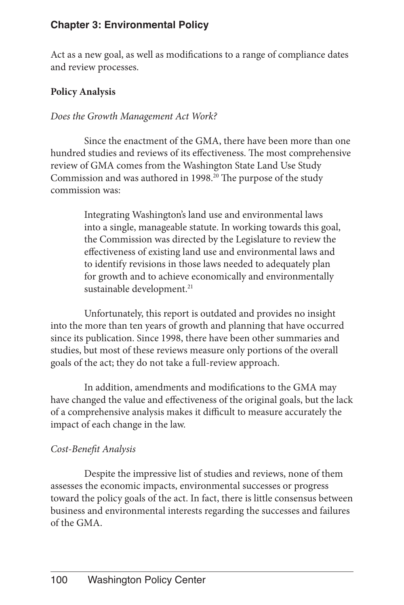Act as a new goal, as well as modifications to a range of compliance dates and review processes.

#### **Policy Analysis**

#### *Does the Growth Management Act Work?*

Since the enactment of the GMA, there have been more than one hundred studies and reviews of its effectiveness. The most comprehensive review of GMA comes from the Washington State Land Use Study Commission and was authored in 1998.20 The purpose of the study commission was:

> Integrating Washington's land use and environmental laws into a single, manageable statute. In working towards this goal, the Commission was directed by the Legislature to review the effectiveness of existing land use and environmental laws and to identify revisions in those laws needed to adequately plan for growth and to achieve economically and environmentally sustainable development.<sup>21</sup>

Unfortunately, this report is outdated and provides no insight into the more than ten years of growth and planning that have occurred since its publication. Since 1998, there have been other summaries and studies, but most of these reviews measure only portions of the overall goals of the act; they do not take a full-review approach.

In addition, amendments and modifications to the GMA may have changed the value and effectiveness of the original goals, but the lack of a comprehensive analysis makes it difficult to measure accurately the impact of each change in the law.

#### *Cost-Benefit Analysis*

Despite the impressive list of studies and reviews, none of them assesses the economic impacts, environmental successes or progress toward the policy goals of the act. In fact, there is little consensus between business and environmental interests regarding the successes and failures of the GMA.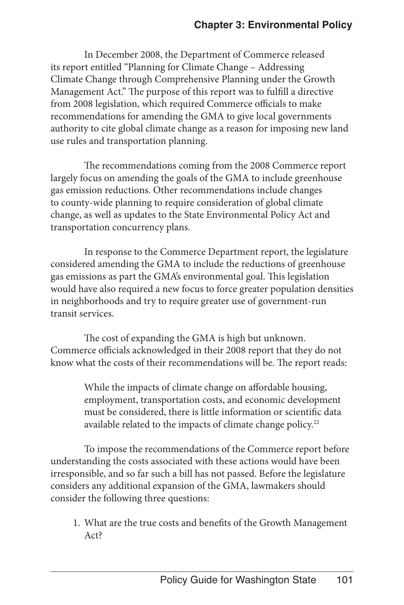In December 2008, the Department of Commerce released its report entitled "Planning for Climate Change – Addressing Climate Change through Comprehensive Planning under the Growth Management Act." The purpose of this report was to fulfill a directive from 2008 legislation, which required Commerce officials to make recommendations for amending the GMA to give local governments authority to cite global climate change as a reason for imposing new land use rules and transportation planning.

The recommendations coming from the 2008 Commerce report largely focus on amending the goals of the GMA to include greenhouse gas emission reductions. Other recommendations include changes to county-wide planning to require consideration of global climate change, as well as updates to the State Environmental Policy Act and transportation concurrency plans.

In response to the Commerce Department report, the legislature considered amending the GMA to include the reductions of greenhouse gas emissions as part the GMA's environmental goal. This legislation would have also required a new focus to force greater population densities in neighborhoods and try to require greater use of government-run transit services.

The cost of expanding the GMA is high but unknown. Commerce officials acknowledged in their 2008 report that they do not know what the costs of their recommendations will be. The report reads:

> While the impacts of climate change on affordable housing, employment, transportation costs, and economic development must be considered, there is little information or scientific data available related to the impacts of climate change policy.<sup>22</sup>

To impose the recommendations of the Commerce report before understanding the costs associated with these actions would have been irresponsible, and so far such a bill has not passed. Before the legislature considers any additional expansion of the GMA, lawmakers should consider the following three questions:

1. What are the true costs and benefits of the Growth Management Act?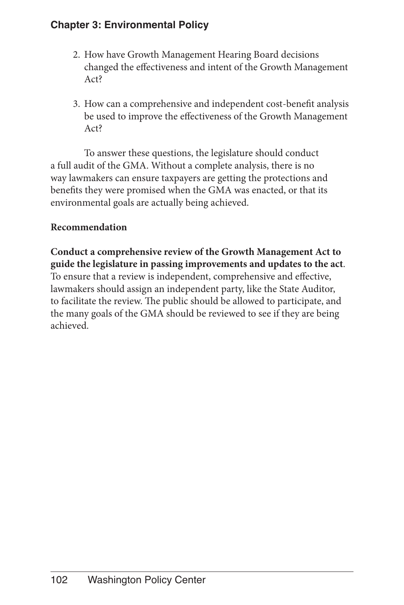- 2. How have Growth Management Hearing Board decisions changed the effectiveness and intent of the Growth Management Act?
- 3. How can a comprehensive and independent cost-benefit analysis be used to improve the effectiveness of the Growth Management Act?

To answer these questions, the legislature should conduct a full audit of the GMA. Without a complete analysis, there is no way lawmakers can ensure taxpayers are getting the protections and benefits they were promised when the GMA was enacted, or that its environmental goals are actually being achieved.

#### **Recommendation**

**Conduct a comprehensive review of the Growth Management Act to guide the legislature in passing improvements and updates to the act**. To ensure that a review is independent, comprehensive and effective, lawmakers should assign an independent party, like the State Auditor, to facilitate the review. The public should be allowed to participate, and the many goals of the GMA should be reviewed to see if they are being achieved.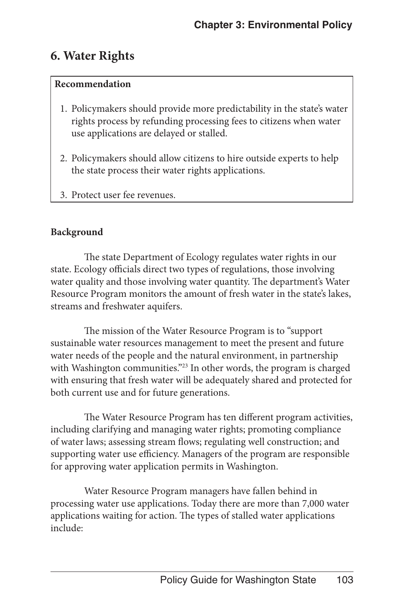## **6. Water Rights**

#### **Recommendation**

- 1. Policymakers should provide more predictability in the state's water rights process by refunding processing fees to citizens when water use applications are delayed or stalled.
- 2. Policymakers should allow citizens to hire outside experts to help the state process their water rights applications.
- 3. Protect user fee revenues.

#### **Background**

The state Department of Ecology regulates water rights in our state. Ecology officials direct two types of regulations, those involving water quality and those involving water quantity. The department's Water Resource Program monitors the amount of fresh water in the state's lakes, streams and freshwater aquifers.

The mission of the Water Resource Program is to "support sustainable water resources management to meet the present and future water needs of the people and the natural environment, in partnership with Washington communities."<sup>23</sup> In other words, the program is charged with ensuring that fresh water will be adequately shared and protected for both current use and for future generations.

The Water Resource Program has ten different program activities, including clarifying and managing water rights; promoting compliance of water laws; assessing stream flows; regulating well construction; and supporting water use efficiency. Managers of the program are responsible for approving water application permits in Washington.

Water Resource Program managers have fallen behind in processing water use applications. Today there are more than 7,000 water applications waiting for action. The types of stalled water applications include: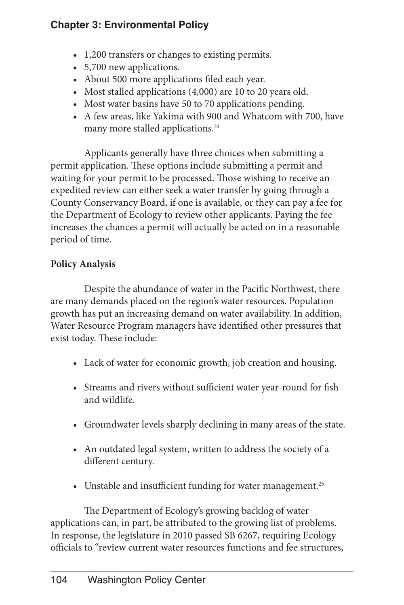- 1,200 transfers or changes to existing permits.
- 5,700 new applications.
- • About 500 more applications filed each year.
- Most stalled applications (4,000) are 10 to 20 years old.
- Most water basins have 50 to 70 applications pending.
- A few areas, like Yakima with 900 and Whatcom with 700, have many more stalled applications.<sup>24</sup>

Applicants generally have three choices when submitting a permit application. These options include submitting a permit and waiting for your permit to be processed. Those wishing to receive an expedited review can either seek a water transfer by going through a County Conservancy Board, if one is available, or they can pay a fee for the Department of Ecology to review other applicants. Paying the fee increases the chances a permit will actually be acted on in a reasonable period of time.

#### **Policy Analysis**

Despite the abundance of water in the Pacific Northwest, there are many demands placed on the region's water resources. Population growth has put an increasing demand on water availability. In addition, Water Resource Program managers have identified other pressures that exist today. These include:

- Lack of water for economic growth, job creation and housing.
- • Streams and rivers without sufficient water year-round for fish and wildlife.
- Groundwater levels sharply declining in many areas of the state.
- An outdated legal system, written to address the society of a different century.
- Unstable and insufficient funding for water management.<sup>25</sup>

The Department of Ecology's growing backlog of water applications can, in part, be attributed to the growing list of problems. In response, the legislature in 2010 passed SB 6267, requiring Ecology officials to "review current water resources functions and fee structures,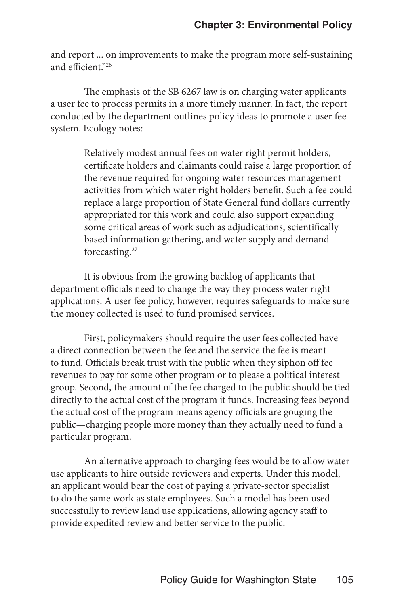and report ... on improvements to make the program more self-sustaining and efficient<sup>"26</sup>

The emphasis of the SB 6267 law is on charging water applicants a user fee to process permits in a more timely manner. In fact, the report conducted by the department outlines policy ideas to promote a user fee system. Ecology notes:

> Relatively modest annual fees on water right permit holders, certificate holders and claimants could raise a large proportion of the revenue required for ongoing water resources management activities from which water right holders benefit. Such a fee could replace a large proportion of State General fund dollars currently appropriated for this work and could also support expanding some critical areas of work such as adjudications, scientifically based information gathering, and water supply and demand forecasting.27

It is obvious from the growing backlog of applicants that department officials need to change the way they process water right applications. A user fee policy, however, requires safeguards to make sure the money collected is used to fund promised services.

First, policymakers should require the user fees collected have a direct connection between the fee and the service the fee is meant to fund. Officials break trust with the public when they siphon off fee revenues to pay for some other program or to please a political interest group. Second, the amount of the fee charged to the public should be tied directly to the actual cost of the program it funds. Increasing fees beyond the actual cost of the program means agency officials are gouging the public—charging people more money than they actually need to fund a particular program.

An alternative approach to charging fees would be to allow water use applicants to hire outside reviewers and experts. Under this model, an applicant would bear the cost of paying a private-sector specialist to do the same work as state employees. Such a model has been used successfully to review land use applications, allowing agency staff to provide expedited review and better service to the public.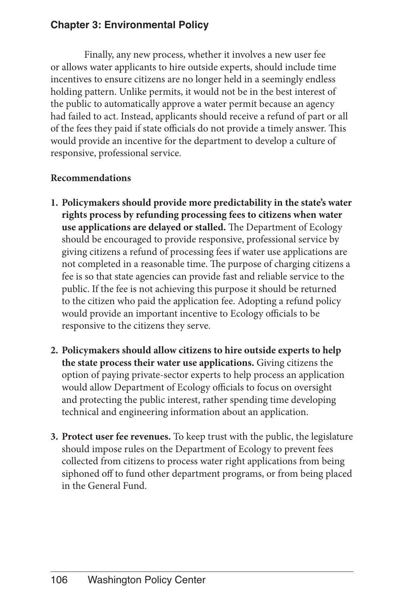Finally, any new process, whether it involves a new user fee or allows water applicants to hire outside experts, should include time incentives to ensure citizens are no longer held in a seemingly endless holding pattern. Unlike permits, it would not be in the best interest of the public to automatically approve a water permit because an agency had failed to act. Instead, applicants should receive a refund of part or all of the fees they paid if state officials do not provide a timely answer. This would provide an incentive for the department to develop a culture of responsive, professional service.

#### **Recommendations**

- **1. Policymakers should provide more predictability in the state's water rights process by refunding processing fees to citizens when water use applications are delayed or stalled.** The Department of Ecology should be encouraged to provide responsive, professional service by giving citizens a refund of processing fees if water use applications are not completed in a reasonable time. The purpose of charging citizens a fee is so that state agencies can provide fast and reliable service to the public. If the fee is not achieving this purpose it should be returned to the citizen who paid the application fee. Adopting a refund policy would provide an important incentive to Ecology officials to be responsive to the citizens they serve.
- **2. Policymakers should allow citizens to hire outside experts to help the state process their water use applications.** Giving citizens the option of paying private-sector experts to help process an application would allow Department of Ecology officials to focus on oversight and protecting the public interest, rather spending time developing technical and engineering information about an application.
- **3. Protect user fee revenues.** To keep trust with the public, the legislature should impose rules on the Department of Ecology to prevent fees collected from citizens to process water right applications from being siphoned off to fund other department programs, or from being placed in the General Fund.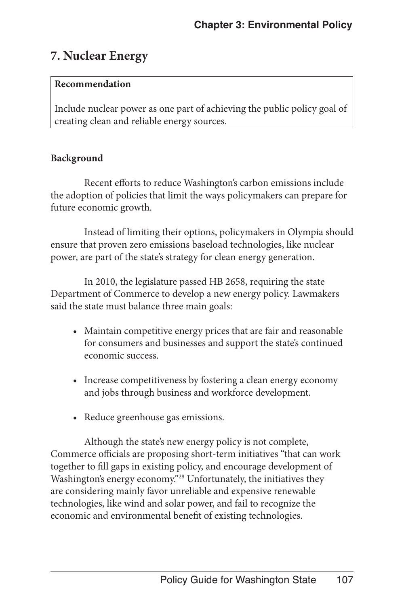## **7. Nuclear Energy**

#### **Recommendation**

Include nuclear power as one part of achieving the public policy goal of creating clean and reliable energy sources.

#### **Background**

Recent efforts to reduce Washington's carbon emissions include the adoption of policies that limit the ways policymakers can prepare for future economic growth.

Instead of limiting their options, policymakers in Olympia should ensure that proven zero emissions baseload technologies, like nuclear power, are part of the state's strategy for clean energy generation.

In 2010, the legislature passed HB 2658, requiring the state Department of Commerce to develop a new energy policy. Lawmakers said the state must balance three main goals:

- Maintain competitive energy prices that are fair and reasonable for consumers and businesses and support the state's continued economic success.
- Increase competitiveness by fostering a clean energy economy and jobs through business and workforce development.
- Reduce greenhouse gas emissions.

Although the state's new energy policy is not complete, Commerce officials are proposing short-term initiatives "that can work together to fill gaps in existing policy, and encourage development of Washington's energy economy."<sup>28</sup> Unfortunately, the initiatives they are considering mainly favor unreliable and expensive renewable technologies, like wind and solar power, and fail to recognize the economic and environmental benefit of existing technologies.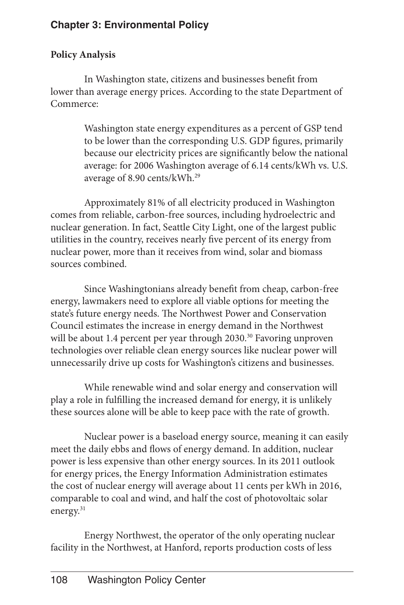#### **Policy Analysis**

In Washington state, citizens and businesses benefit from lower than average energy prices. According to the state Department of Commerce:

> Washington state energy expenditures as a percent of GSP tend to be lower than the corresponding U.S. GDP figures, primarily because our electricity prices are significantly below the national average: for 2006 Washington average of 6.14 cents/kWh vs. U.S. average of 8.90 cents/kWh.29

Approximately 81% of all electricity produced in Washington comes from reliable, carbon-free sources, including hydroelectric and nuclear generation. In fact, Seattle City Light, one of the largest public utilities in the country, receives nearly five percent of its energy from nuclear power, more than it receives from wind, solar and biomass sources combined.

Since Washingtonians already benefit from cheap, carbon-free energy, lawmakers need to explore all viable options for meeting the state's future energy needs. The Northwest Power and Conservation Council estimates the increase in energy demand in the Northwest will be about 1.4 percent per year through 2030.<sup>30</sup> Favoring unproven technologies over reliable clean energy sources like nuclear power will unnecessarily drive up costs for Washington's citizens and businesses.

While renewable wind and solar energy and conservation will play a role in fulfilling the increased demand for energy, it is unlikely these sources alone will be able to keep pace with the rate of growth.

Nuclear power is a baseload energy source, meaning it can easily meet the daily ebbs and flows of energy demand. In addition, nuclear power is less expensive than other energy sources. In its 2011 outlook for energy prices, the Energy Information Administration estimates the cost of nuclear energy will average about 11 cents per kWh in 2016, comparable to coal and wind, and half the cost of photovoltaic solar energy.<sup>31</sup>

Energy Northwest, the operator of the only operating nuclear facility in the Northwest, at Hanford, reports production costs of less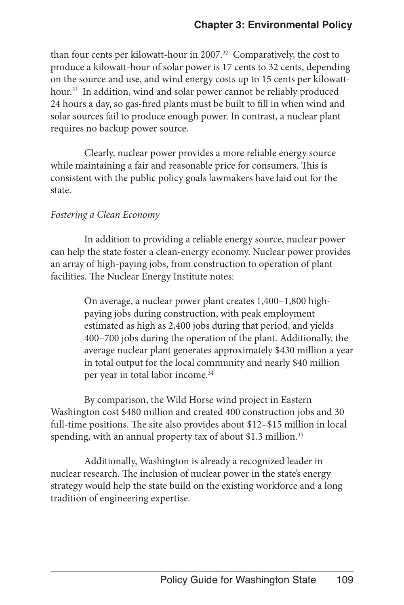than four cents per kilowatt-hour in 2007.<sup>32</sup> Comparatively, the cost to produce a kilowatt-hour of solar power is 17 cents to 32 cents, depending on the source and use, and wind energy costs up to 15 cents per kilowatthour.<sup>33</sup> In addition, wind and solar power cannot be reliably produced 24 hours a day, so gas-fired plants must be built to fill in when wind and solar sources fail to produce enough power. In contrast, a nuclear plant requires no backup power source.

Clearly, nuclear power provides a more reliable energy source while maintaining a fair and reasonable price for consumers. This is consistent with the public policy goals lawmakers have laid out for the state.

#### *Fostering a Clean Economy*

In addition to providing a reliable energy source, nuclear power can help the state foster a clean-energy economy. Nuclear power provides an array of high-paying jobs, from construction to operation of plant facilities. The Nuclear Energy Institute notes:

> On average, a nuclear power plant creates 1,400–1,800 highpaying jobs during construction, with peak employment estimated as high as 2,400 jobs during that period, and yields 400–700 jobs during the operation of the plant. Additionally, the average nuclear plant generates approximately \$430 million a year in total output for the local community and nearly \$40 million per year in total labor income.<sup>34</sup>

By comparison, the Wild Horse wind project in Eastern Washington cost \$480 million and created 400 construction jobs and 30 full-time positions. The site also provides about \$12–\$15 million in local spending, with an annual property tax of about \$1.3 million.<sup>35</sup>

Additionally, Washington is already a recognized leader in nuclear research. The inclusion of nuclear power in the state's energy strategy would help the state build on the existing workforce and a long tradition of engineering expertise.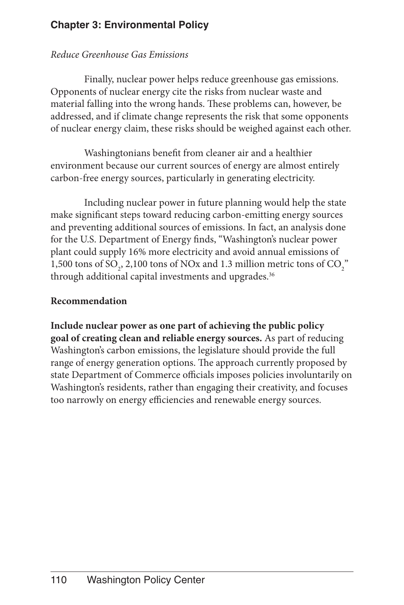#### *Reduce Greenhouse Gas Emissions*

Finally, nuclear power helps reduce greenhouse gas emissions. Opponents of nuclear energy cite the risks from nuclear waste and material falling into the wrong hands. These problems can, however, be addressed, and if climate change represents the risk that some opponents of nuclear energy claim, these risks should be weighed against each other.

Washingtonians benefit from cleaner air and a healthier environment because our current sources of energy are almost entirely carbon-free energy sources, particularly in generating electricity.

Including nuclear power in future planning would help the state make significant steps toward reducing carbon-emitting energy sources and preventing additional sources of emissions. In fact, an analysis done for the U.S. Department of Energy finds, "Washington's nuclear power plant could supply 16% more electricity and avoid annual emissions of 1,500 tons of SO<sub>2</sub>, 2,100 tons of NOx and 1.3 million metric tons of CO<sub>2</sub><sup>"</sup> through additional capital investments and upgrades.<sup>36</sup>

#### **Recommendation**

**Include nuclear power as one part of achieving the public policy goal of creating clean and reliable energy sources.** As part of reducing Washington's carbon emissions, the legislature should provide the full range of energy generation options. The approach currently proposed by state Department of Commerce officials imposes policies involuntarily on Washington's residents, rather than engaging their creativity, and focuses too narrowly on energy efficiencies and renewable energy sources.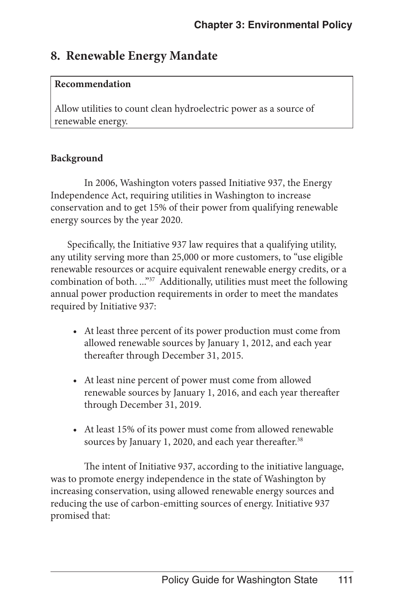## **8. Renewable Energy Mandate**

#### **Recommendation**

Allow utilities to count clean hydroelectric power as a source of renewable energy.

#### **Background**

In 2006, Washington voters passed Initiative 937, the Energy Independence Act, requiring utilities in Washington to increase conservation and to get 15% of their power from qualifying renewable energy sources by the year 2020.

Specifically, the Initiative 937 law requires that a qualifying utility, any utility serving more than 25,000 or more customers, to "use eligible renewable resources or acquire equivalent renewable energy credits, or a combination of both. ..."<sup>37</sup> Additionally, utilities must meet the following annual power production requirements in order to meet the mandates required by Initiative 937:

- At least three percent of its power production must come from allowed renewable sources by January 1, 2012, and each year thereafter through December 31, 2015.
- At least nine percent of power must come from allowed renewable sources by January 1, 2016, and each year thereafter through December 31, 2019.
- At least 15% of its power must come from allowed renewable sources by January 1, 2020, and each year thereafter.<sup>38</sup>

The intent of Initiative 937, according to the initiative language, was to promote energy independence in the state of Washington by increasing conservation, using allowed renewable energy sources and reducing the use of carbon-emitting sources of energy. Initiative 937 promised that: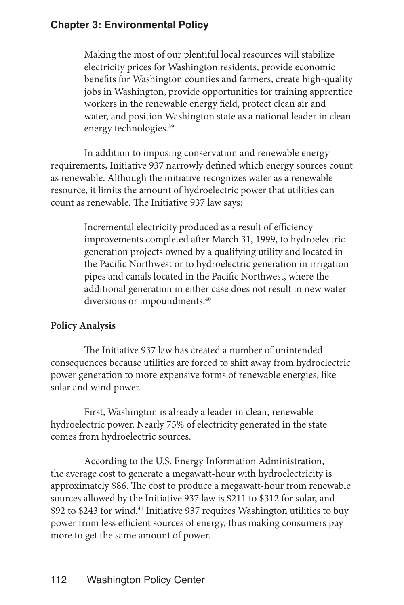Making the most of our plentiful local resources will stabilize electricity prices for Washington residents, provide economic benefits for Washington counties and farmers, create high-quality jobs in Washington, provide opportunities for training apprentice workers in the renewable energy field, protect clean air and water, and position Washington state as a national leader in clean energy technologies.<sup>39</sup>

In addition to imposing conservation and renewable energy requirements, Initiative 937 narrowly defined which energy sources count as renewable. Although the initiative recognizes water as a renewable resource, it limits the amount of hydroelectric power that utilities can count as renewable. The Initiative 937 law says:

> Incremental electricity produced as a result of efficiency improvements completed after March 31, 1999, to hydroelectric generation projects owned by a qualifying utility and located in the Pacific Northwest or to hydroelectric generation in irrigation pipes and canals located in the Pacific Northwest, where the additional generation in either case does not result in new water diversions or impoundments.<sup>40</sup>

#### **Policy Analysis**

The Initiative 937 law has created a number of unintended consequences because utilities are forced to shift away from hydroelectric power generation to more expensive forms of renewable energies, like solar and wind power.

First, Washington is already a leader in clean, renewable hydroelectric power. Nearly 75% of electricity generated in the state comes from hydroelectric sources.

According to the U.S. Energy Information Administration, the average cost to generate a megawatt-hour with hydroelectricity is approximately \$86. The cost to produce a megawatt-hour from renewable sources allowed by the Initiative 937 law is \$211 to \$312 for solar, and \$92 to \$243 for wind.<sup>41</sup> Initiative 937 requires Washington utilities to buy power from less efficient sources of energy, thus making consumers pay more to get the same amount of power.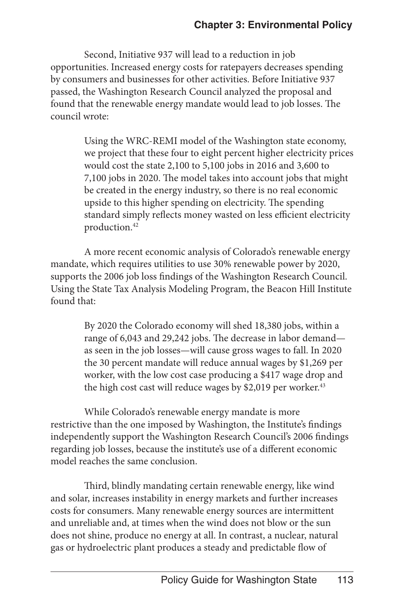Second, Initiative 937 will lead to a reduction in job opportunities. Increased energy costs for ratepayers decreases spending by consumers and businesses for other activities. Before Initiative 937 passed, the Washington Research Council analyzed the proposal and found that the renewable energy mandate would lead to job losses. The council wrote:

> Using the WRC-REMI model of the Washington state economy, we project that these four to eight percent higher electricity prices would cost the state 2,100 to 5,100 jobs in 2016 and 3,600 to 7,100 jobs in 2020. The model takes into account jobs that might be created in the energy industry, so there is no real economic upside to this higher spending on electricity. The spending standard simply reflects money wasted on less efficient electricity production.<sup>42</sup>

A more recent economic analysis of Colorado's renewable energy mandate, which requires utilities to use 30% renewable power by 2020, supports the 2006 job loss findings of the Washington Research Council. Using the State Tax Analysis Modeling Program, the Beacon Hill Institute found that:

> By 2020 the Colorado economy will shed 18,380 jobs, within a range of 6,043 and 29,242 jobs. The decrease in labor demand as seen in the job losses—will cause gross wages to fall. In 2020 the 30 percent mandate will reduce annual wages by \$1,269 per worker, with the low cost case producing a \$417 wage drop and the high cost cast will reduce wages by \$2,019 per worker. $43$

While Colorado's renewable energy mandate is more restrictive than the one imposed by Washington, the Institute's findings independently support the Washington Research Council's 2006 findings regarding job losses, because the institute's use of a different economic model reaches the same conclusion.

Third, blindly mandating certain renewable energy, like wind and solar, increases instability in energy markets and further increases costs for consumers. Many renewable energy sources are intermittent and unreliable and, at times when the wind does not blow or the sun does not shine, produce no energy at all. In contrast, a nuclear, natural gas or hydroelectric plant produces a steady and predictable flow of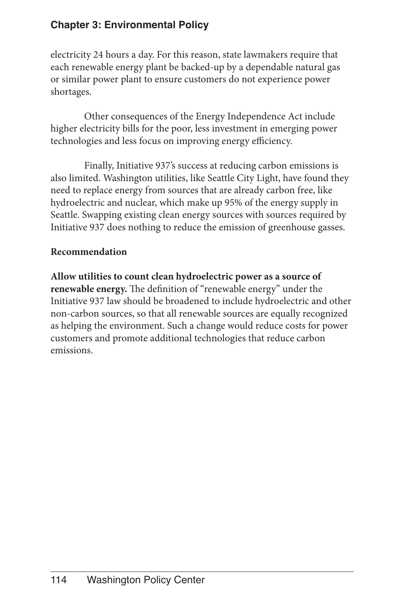electricity 24 hours a day. For this reason, state lawmakers require that each renewable energy plant be backed-up by a dependable natural gas or similar power plant to ensure customers do not experience power shortages.

Other consequences of the Energy Independence Act include higher electricity bills for the poor, less investment in emerging power technologies and less focus on improving energy efficiency.

Finally, Initiative 937's success at reducing carbon emissions is also limited. Washington utilities, like Seattle City Light, have found they need to replace energy from sources that are already carbon free, like hydroelectric and nuclear, which make up 95% of the energy supply in Seattle. Swapping existing clean energy sources with sources required by Initiative 937 does nothing to reduce the emission of greenhouse gasses.

#### **Recommendation**

**Allow utilities to count clean hydroelectric power as a source of renewable energy.** The definition of "renewable energy" under the Initiative 937 law should be broadened to include hydroelectric and other non-carbon sources, so that all renewable sources are equally recognized as helping the environment. Such a change would reduce costs for power customers and promote additional technologies that reduce carbon emissions.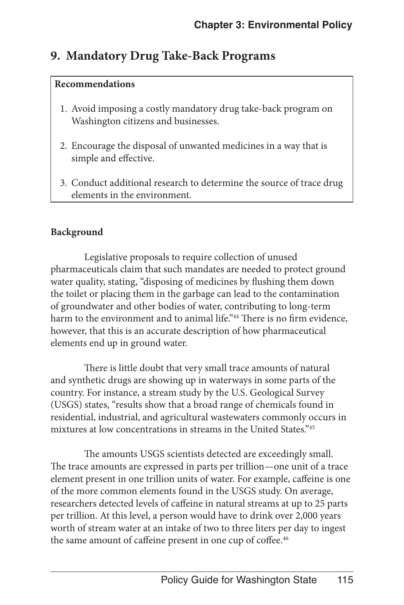## **9. Mandatory Drug Take-Back Programs**

#### **Recommendations**

- 1. Avoid imposing a costly mandatory drug take-back program on Washington citizens and businesses.
- 2. Encourage the disposal of unwanted medicines in a way that is simple and effective.
- 3. Conduct additional research to determine the source of trace drug elements in the environment.

#### **Background**

Legislative proposals to require collection of unused pharmaceuticals claim that such mandates are needed to protect ground water quality, stating, "disposing of medicines by flushing them down the toilet or placing them in the garbage can lead to the contamination of groundwater and other bodies of water, contributing to long-term harm to the environment and to animal life."<sup>44</sup> There is no firm evidence, however, that this is an accurate description of how pharmaceutical elements end up in ground water.

There is little doubt that very small trace amounts of natural and synthetic drugs are showing up in waterways in some parts of the country. For instance, a stream study by the U.S. Geological Survey (USGS) states, "results show that a broad range of chemicals found in residential, industrial, and agricultural wastewaters commonly occurs in mixtures at low concentrations in streams in the United States."45

The amounts USGS scientists detected are exceedingly small. The trace amounts are expressed in parts per trillion—one unit of a trace element present in one trillion units of water. For example, caffeine is one of the more common elements found in the USGS study. On average, researchers detected levels of caffeine in natural streams at up to 25 parts per trillion. At this level, a person would have to drink over 2,000 years worth of stream water at an intake of two to three liters per day to ingest the same amount of caffeine present in one cup of coffee.<sup>46</sup>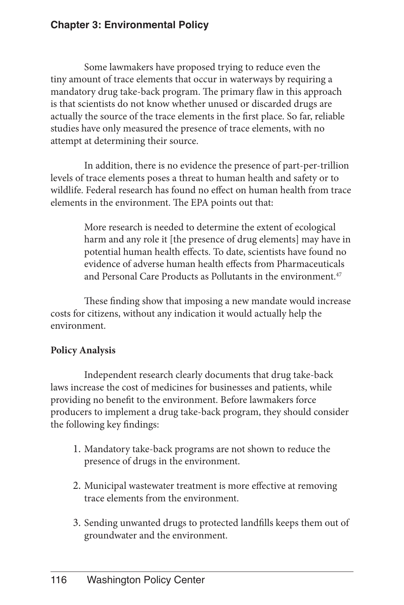Some lawmakers have proposed trying to reduce even the tiny amount of trace elements that occur in waterways by requiring a mandatory drug take-back program. The primary flaw in this approach is that scientists do not know whether unused or discarded drugs are actually the source of the trace elements in the first place. So far, reliable studies have only measured the presence of trace elements, with no attempt at determining their source.

In addition, there is no evidence the presence of part-per-trillion levels of trace elements poses a threat to human health and safety or to wildlife. Federal research has found no effect on human health from trace elements in the environment. The EPA points out that:

> More research is needed to determine the extent of ecological harm and any role it [the presence of drug elements] may have in potential human health effects. To date, scientists have found no evidence of adverse human health effects from Pharmaceuticals and Personal Care Products as Pollutants in the environment. $47$

These finding show that imposing a new mandate would increase costs for citizens, without any indication it would actually help the environment.

#### **Policy Analysis**

Independent research clearly documents that drug take-back laws increase the cost of medicines for businesses and patients, while providing no benefit to the environment. Before lawmakers force producers to implement a drug take-back program, they should consider the following key findings:

- 1. Mandatory take-back programs are not shown to reduce the presence of drugs in the environment.
- 2. Municipal wastewater treatment is more effective at removing trace elements from the environment.
- 3. Sending unwanted drugs to protected landfills keeps them out of groundwater and the environment.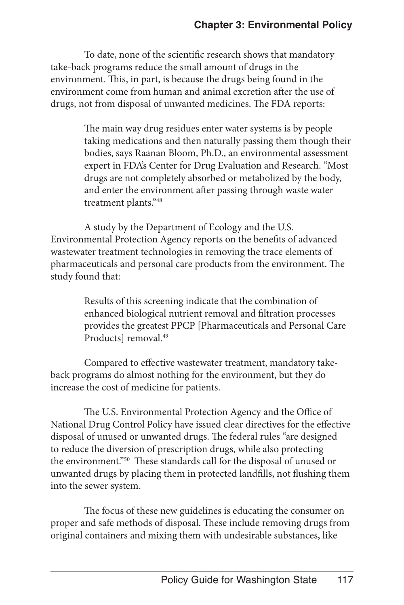To date, none of the scientific research shows that mandatory take-back programs reduce the small amount of drugs in the environment. This, in part, is because the drugs being found in the environment come from human and animal excretion after the use of drugs, not from disposal of unwanted medicines. The FDA reports:

> The main way drug residues enter water systems is by people taking medications and then naturally passing them though their bodies, says Raanan Bloom, Ph.D., an environmental assessment expert in FDA's Center for Drug Evaluation and Research. "Most drugs are not completely absorbed or metabolized by the body, and enter the environment after passing through waste water treatment plants."48

A study by the Department of Ecology and the U.S. Environmental Protection Agency reports on the benefits of advanced wastewater treatment technologies in removing the trace elements of pharmaceuticals and personal care products from the environment. The study found that:

> Results of this screening indicate that the combination of enhanced biological nutrient removal and filtration processes provides the greatest PPCP [Pharmaceuticals and Personal Care Products] removal.<sup>49</sup>

Compared to effective wastewater treatment, mandatory takeback programs do almost nothing for the environment, but they do increase the cost of medicine for patients.

The U.S. Environmental Protection Agency and the Office of National Drug Control Policy have issued clear directives for the effective disposal of unused or unwanted drugs. The federal rules "are designed to reduce the diversion of prescription drugs, while also protecting the environment."<sup>50</sup> These standards call for the disposal of unused or unwanted drugs by placing them in protected landfills, not flushing them into the sewer system.

The focus of these new guidelines is educating the consumer on proper and safe methods of disposal. These include removing drugs from original containers and mixing them with undesirable substances, like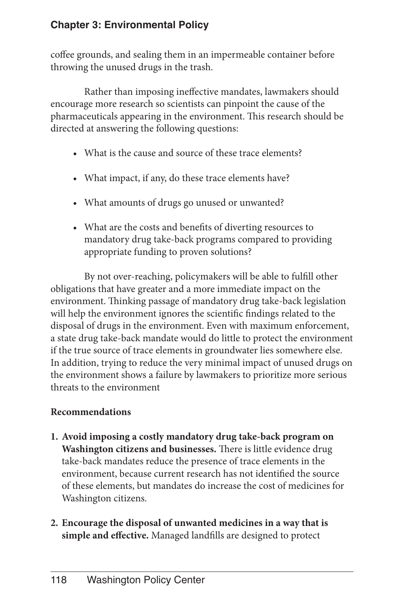coffee grounds, and sealing them in an impermeable container before throwing the unused drugs in the trash.

Rather than imposing ineffective mandates, lawmakers should encourage more research so scientists can pinpoint the cause of the pharmaceuticals appearing in the environment. This research should be directed at answering the following questions:

- What is the cause and source of these trace elements?
- What impact, if any, do these trace elements have?
- • What amounts of drugs go unused or unwanted?
- • What are the costs and benefits of diverting resources to mandatory drug take-back programs compared to providing appropriate funding to proven solutions?

By not over-reaching, policymakers will be able to fulfill other obligations that have greater and a more immediate impact on the environment. Thinking passage of mandatory drug take-back legislation will help the environment ignores the scientific findings related to the disposal of drugs in the environment. Even with maximum enforcement, a state drug take-back mandate would do little to protect the environment if the true source of trace elements in groundwater lies somewhere else. In addition, trying to reduce the very minimal impact of unused drugs on the environment shows a failure by lawmakers to prioritize more serious threats to the environment

#### **Recommendations**

- **1. Avoid imposing a costly mandatory drug take-back program on Washington citizens and businesses.** There is little evidence drug take-back mandates reduce the presence of trace elements in the environment, because current research has not identified the source of these elements, but mandates do increase the cost of medicines for Washington citizens.
- **2. Encourage the disposal of unwanted medicines in a way that is simple and effective.** Managed landfills are designed to protect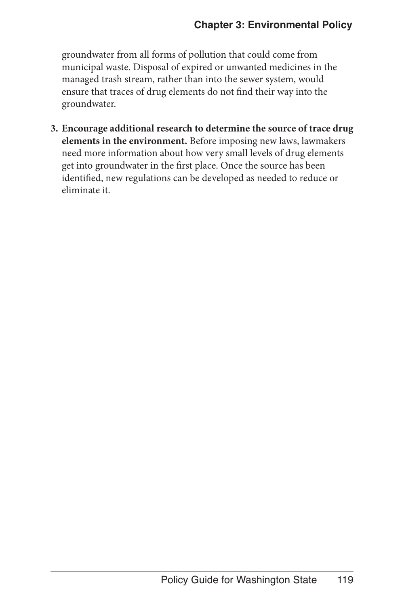groundwater from all forms of pollution that could come from municipal waste. Disposal of expired or unwanted medicines in the managed trash stream, rather than into the sewer system, would ensure that traces of drug elements do not find their way into the groundwater.

**3. Encourage additional research to determine the source of trace drug elements in the environment.** Before imposing new laws, lawmakers need more information about how very small levels of drug elements get into groundwater in the first place. Once the source has been identified, new regulations can be developed as needed to reduce or eliminate it.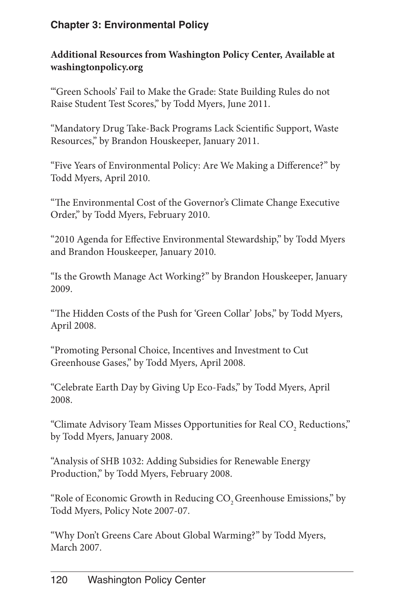#### **Additional Resources from Washington Policy Center, Available at washingtonpolicy.org**

"'Green Schools' Fail to Make the Grade: State Building Rules do not Raise Student Test Scores," by Todd Myers, June 2011.

"Mandatory Drug Take-Back Programs Lack Scientific Support, Waste Resources," by Brandon Houskeeper, January 2011.

"Five Years of Environmental Policy: Are We Making a Difference?" by Todd Myers, April 2010.

"The Environmental Cost of the Governor's Climate Change Executive Order," by Todd Myers, February 2010.

"2010 Agenda for Effective Environmental Stewardship," by Todd Myers and Brandon Houskeeper, January 2010.

"Is the Growth Manage Act Working?" by Brandon Houskeeper, January 2009.

"The Hidden Costs of the Push for 'Green Collar' Jobs," by Todd Myers, April 2008.

"Promoting Personal Choice, Incentives and Investment to Cut Greenhouse Gases," by Todd Myers, April 2008.

"Celebrate Earth Day by Giving Up Eco-Fads," by Todd Myers, April 2008.

"Climate Advisory Team Misses Opportunities for Real CO<sub>2</sub> Reductions," by Todd Myers, January 2008.

"Analysis of SHB 1032: Adding Subsidies for Renewable Energy Production," by Todd Myers, February 2008.

"Role of Economic Growth in Reducing CO<sub>2</sub> Greenhouse Emissions," by Todd Myers, Policy Note 2007-07.

"Why Don't Greens Care About Global Warming?" by Todd Myers, March 2007.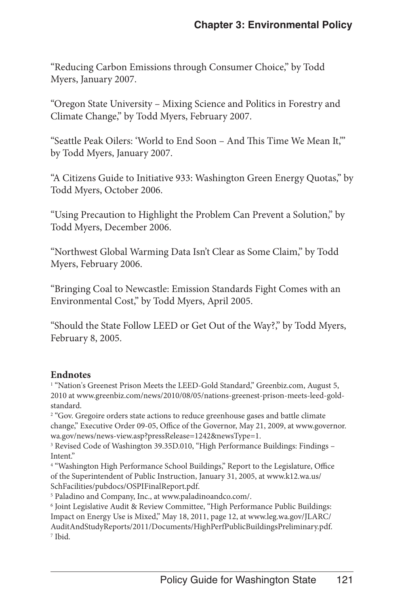"Reducing Carbon Emissions through Consumer Choice," by Todd Myers, January 2007.

"Oregon State University – Mixing Science and Politics in Forestry and Climate Change," by Todd Myers, February 2007.

"Seattle Peak Oilers: 'World to End Soon – And This Time We Mean It,'" by Todd Myers, January 2007.

"A Citizens Guide to Initiative 933: Washington Green Energy Quotas," by Todd Myers, October 2006.

"Using Precaution to Highlight the Problem Can Prevent a Solution," by Todd Myers, December 2006.

"Northwest Global Warming Data Isn't Clear as Some Claim," by Todd Myers, February 2006.

"Bringing Coal to Newcastle: Emission Standards Fight Comes with an Environmental Cost," by Todd Myers, April 2005.

"Should the State Follow LEED or Get Out of the Way?," by Todd Myers, February 8, 2005.

#### **Endnotes**

<sup>1</sup> "Nation's Greenest Prison Meets the LEED-Gold Standard," Greenbiz.com, August 5, 2010 at www.greenbiz.com/news/2010/08/05/nations-greenest-prison-meets-leed-goldstandard.

<sup>2</sup> "Gov. Gregoire orders state actions to reduce greenhouse gases and battle climate change," Executive Order 09-05, Office of the Governor, May 21, 2009, at www.governor. wa.gov/news/news-view.asp?pressRelease=1242&newsType=1.

<sup>3</sup> Revised Code of Washington 39.35D.010, "High Performance Buildings: Findings -Intent."

<sup>4</sup> "Washington High Performance School Buildings," Report to the Legislature, Office of the Superintendent of Public Instruction, January 31, 2005, at www.k12.wa.us/ SchFacilities/pubdocs/OSPIFinalReport.pdf.

5 Paladino and Company, Inc., at www.paladinoandco.com/.

6 Joint Legislative Audit & Review Committee, "High Performance Public Buildings: Impact on Energy Use is Mixed," May 18, 2011, page 12, at www.leg.wa.gov/JLARC/ AuditAndStudyReports/2011/Documents/HighPerfPublicBuildingsPreliminary.pdf. 7 Ibid.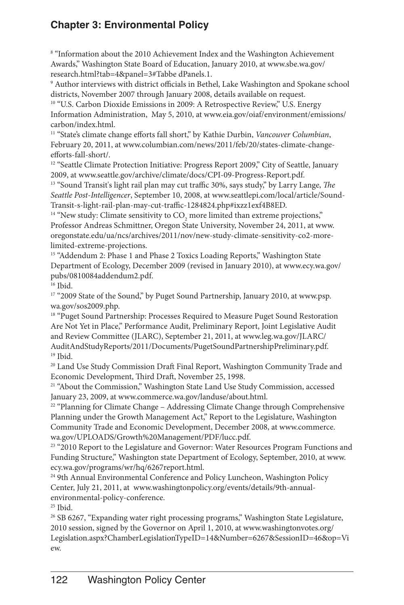<sup>8</sup> "Information about the 2010 Achievement Index and the Washington Achievement Awards," Washington State Board of Education, January 2010, at www.sbe.wa.gov/ research.html?tab=4&panel=3#Tabbe dPanels.1.

9 Author interviews with district officials in Bethel, Lake Washington and Spokane school districts, November 2007 through January 2008, details available on request.

<sup>10</sup> "U.S. Carbon Dioxide Emissions in 2009: A Retrospective Review," U.S. Energy Information Administration, May 5, 2010, at www.eia.gov/oiaf/environment/emissions/ carbon/index.html.

11 "State's climate change efforts fall short," by Kathie Durbin, *Vancouver Columbian*, February 20, 2011, at www.columbian.com/news/2011/feb/20/states-climate-changeefforts-fall-short/.

<sup>12</sup> "Seattle Climate Protection Initiative: Progress Report 2009," City of Seattle, January 2009, at www.seattle.gov/archive/climate/docs/CPI-09-Progress-Report.pdf.

13 "Sound Transit's light rail plan may cut traffic 30%, says study," by Larry Lange, *The Seattle Post-Intelligencer*, September 10, 2008, at www.seattlepi.com/local/article/Sound-Transit-s-light-rail-plan-may-cut-traffic-1284824.php#ixzz1exf4B8ED.

 $^{14}$  "New study: Climate sensitivity to  $\mathrm{CO}_2$  more limited than extreme projections," Professor Andreas Schmittner, Oregon State University, November 24, 2011, at www. oregonstate.edu/ua/ncs/archives/2011/nov/new-study-climate-sensitivity-co2-morelimited-extreme-projections.

<sup>15</sup> "Addendum 2: Phase 1 and Phase 2 Toxics Loading Reports," Washington State Department of Ecology, December 2009 (revised in January 2010), at www.ecy.wa.gov/ pubs/0810084addendum2.pdf.

<sup>16</sup> Ibid.

<sup>17</sup> "2009 State of the Sound," by Puget Sound Partnership, January 2010, at www.psp. wa.gov/sos2009.php.

<sup>18</sup> "Puget Sound Partnership: Processes Required to Measure Puget Sound Restoration Are Not Yet in Place," Performance Audit, Preliminary Report, Joint Legislative Audit and Review Committee (JLARC), September 21, 2011, at www.leg.wa.gov/JLARC/ AuditAndStudyReports/2011/Documents/PugetSoundPartnershipPreliminary.pdf. 19 Ibid.

<sup>20</sup> Land Use Study Commission Draft Final Report, Washington Community Trade and Economic Development, Third Draft, November 25, 1998.

<sup>21</sup> "About the Commission," Washington State Land Use Study Commission, accessed January 23, 2009, at www.commerce.wa.gov/landuse/about.html.

<sup>22</sup> "Planning for Climate Change – Addressing Climate Change through Comprehensive Planning under the Growth Management Act," Report to the Legislature, Washington Community Trade and Economic Development, December 2008, at www.commerce. wa.gov/UPLOADS/Growth%20Management/PDF/lucc.pdf.

<sup>23</sup> "2010 Report to the Legislature and Governor: Water Resources Program Functions and Funding Structure," Washington state Department of Ecology, September, 2010, at www. ecy.wa.gov/programs/wr/hq/6267report.html.

<sup>24</sup> 9th Annual Environmental Conference and Policy Luncheon, Washington Policy Center, July 21, 2011, at www.washingtonpolicy.org/events/details/9th-annualenvironmental-policy-conference.

25 Ibid.

<sup>26</sup> SB 6267, "Expanding water right processing programs," Washington State Legislature, 2010 session, signed by the Governor on April 1, 2010, at www.washingtonvotes.org/ Legislation.aspx?ChamberLegislationTypeID=14&Number=6267&SessionID=46&op=Vi ew.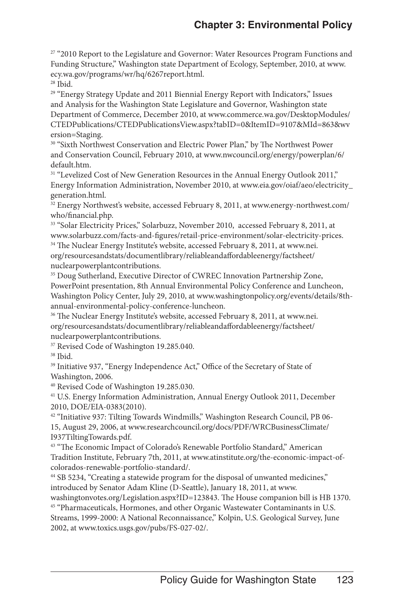<sup>27</sup> "2010 Report to the Legislature and Governor: Water Resources Program Functions and Funding Structure," Washington state Department of Ecology, September, 2010, at www. ecy.wa.gov/programs/wr/hq/6267report.html.

28 Ibid.

<sup>29</sup> "Energy Strategy Update and 2011 Biennial Energy Report with Indicators," Issues and Analysis for the Washington State Legislature and Governor, Washington state Department of Commerce, December 2010, at www.commerce.wa.gov/DesktopModules/ CTEDPublications/CTEDPublicationsView.aspx?tabID=0&ItemID=9107&MId=863&wv ersion=Staging.

<sup>30</sup> "Sixth Northwest Conservation and Electric Power Plan," by The Northwest Power and Conservation Council, February 2010, at www.nwcouncil.org/energy/powerplan/6/ default.htm.

<sup>31</sup> "Levelized Cost of New Generation Resources in the Annual Energy Outlook 2011," Energy Information Administration, November 2010, at www.eia.gov/oiaf/aeo/electricity\_ generation.html.

<sup>32</sup> Energy Northwest's website, accessed February 8, 2011, at www.energy-northwest.com/ who/financial.php.

33 "Solar Electricity Prices," Solarbuzz, November 2010, accessed February 8, 2011, at www.solarbuzz.com/facts-and-figures/retail-price-environment/solar-electricity-prices. <sup>34</sup> The Nuclear Energy Institute's website, accessed February 8, 2011, at www.nei.

org/resourcesandstats/documentlibrary/reliableandaffordableenergy/factsheet/ nuclearpowerplantcontributions.

<sup>35</sup> Doug Sutherland, Executive Director of CWREC Innovation Partnership Zone, PowerPoint presentation, 8th Annual Environmental Policy Conference and Luncheon, Washington Policy Center, July 29, 2010, at www.washingtonpolicy.org/events/details/8thannual-environmental-policy-conference-luncheon.

36 The Nuclear Energy Institute's website, accessed February 8, 2011, at www.nei. org/resourcesandstats/documentlibrary/reliableandaffordableenergy/factsheet/ nuclearpowerplantcontributions.

<sup>37</sup> Revised Code of Washington 19.285.040.

38 Ibid.

<sup>39</sup> Initiative 937, "Energy Independence Act," Office of the Secretary of State of Washington, 2006.

40 Revised Code of Washington 19.285.030.

41 U.S. Energy Information Administration, Annual Energy Outlook 2011, December 2010, DOE/EIA-0383(2010).

42 "Initiative 937: Tilting Towards Windmills," Washington Research Council, PB 06- 15, August 29, 2006, at www.researchcouncil.org/docs/PDF/WRCBusinessClimate/ I937TiltingTowards.pdf.

43 "The Economic Impact of Colorado's Renewable Portfolio Standard," American Tradition Institute, February 7th, 2011, at www.atinstitute.org/the-economic-impact-ofcolorados-renewable-portfolio-standard/.

<sup>44</sup> SB 5234, "Creating a statewide program for the disposal of unwanted medicines," introduced by Senator Adam Kline (D-Seattle), January 18, 2011, at www. washingtonvotes.org/Legislation.aspx?ID=123843. The House companion bill is HB 1370. 45 "Pharmaceuticals, Hormones, and other Organic Wastewater Contaminants in U.S.

Streams, 1999-2000: A National Reconnaissance," Kolpin, U.S. Geological Survey, June 2002, at www.toxics.usgs.gov/pubs/FS-027-02/.